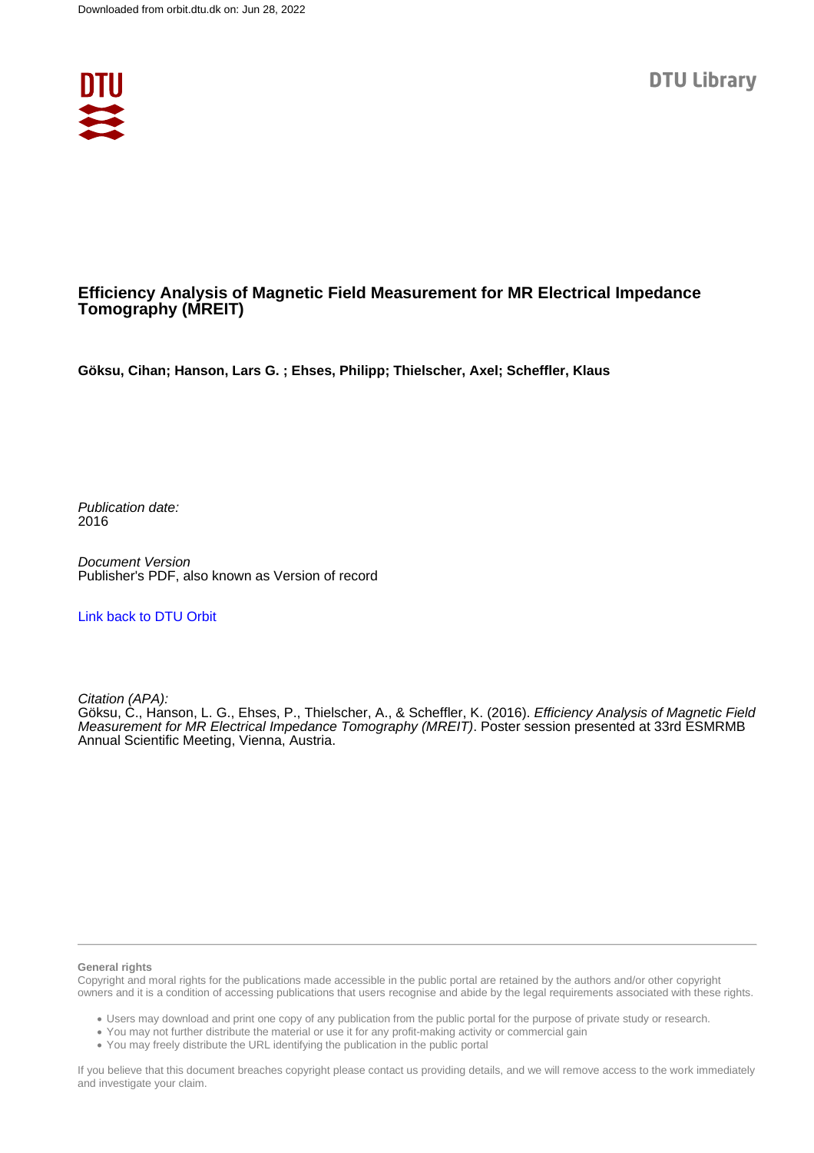

#### **Efficiency Analysis of Magnetic Field Measurement for MR Electrical Impedance Tomography (MREIT)**

**Göksu, Cihan; Hanson, Lars G. ; Ehses, Philipp; Thielscher, Axel; Scheffler, Klaus**

Publication date: 2016

Document Version Publisher's PDF, also known as Version of record

[Link back to DTU Orbit](https://orbit.dtu.dk/en/publications/1d0e204e-37a7-4dbb-b9ab-ecc15c12dabb)

Citation (APA):

Göksu, C., Hanson, L. G., Ehses, P., Thielscher, A., & Scheffler, K. (2016). Efficiency Analysis of Magnetic Field Measurement for MR Electrical Impedance Tomography (MREIT). Poster session presented at 33rd ESMRMB Annual Scientific Meeting, Vienna, Austria.

#### **General rights**

Copyright and moral rights for the publications made accessible in the public portal are retained by the authors and/or other copyright owners and it is a condition of accessing publications that users recognise and abide by the legal requirements associated with these rights.

Users may download and print one copy of any publication from the public portal for the purpose of private study or research.

- You may not further distribute the material or use it for any profit-making activity or commercial gain
- You may freely distribute the URL identifying the publication in the public portal

If you believe that this document breaches copyright please contact us providing details, and we will remove access to the work immediately and investigate your claim.